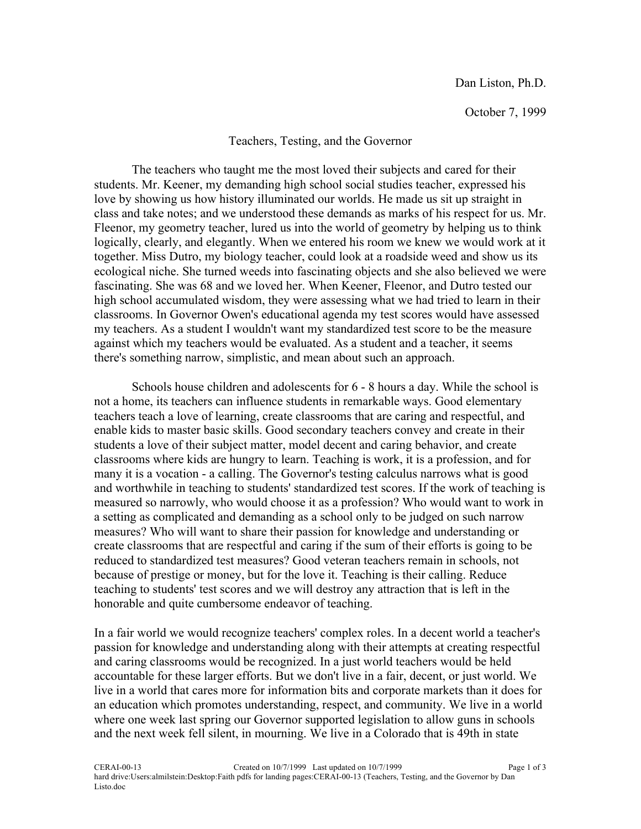October 7, 1999

## Teachers, Testing, and the Governor

The teachers who taught me the most loved their subjects and cared for their students. Mr. Keener, my demanding high school social studies teacher, expressed his love by showing us how history illuminated our worlds. He made us sit up straight in class and take notes; and we understood these demands as marks of his respect for us. Mr. Fleenor, my geometry teacher, lured us into the world of geometry by helping us to think logically, clearly, and elegantly. When we entered his room we knew we would work at it together. Miss Dutro, my biology teacher, could look at a roadside weed and show us its ecological niche. She turned weeds into fascinating objects and she also believed we were fascinating. She was 68 and we loved her. When Keener, Fleenor, and Dutro tested our high school accumulated wisdom, they were assessing what we had tried to learn in their classrooms. In Governor Owen's educational agenda my test scores would have assessed my teachers. As a student I wouldn't want my standardized test score to be the measure against which my teachers would be evaluated. As a student and a teacher, it seems there's something narrow, simplistic, and mean about such an approach.

Schools house children and adolescents for 6 - 8 hours a day. While the school is not a home, its teachers can influence students in remarkable ways. Good elementary teachers teach a love of learning, create classrooms that are caring and respectful, and enable kids to master basic skills. Good secondary teachers convey and create in their students a love of their subject matter, model decent and caring behavior, and create classrooms where kids are hungry to learn. Teaching is work, it is a profession, and for many it is a vocation - a calling. The Governor's testing calculus narrows what is good and worthwhile in teaching to students' standardized test scores. If the work of teaching is measured so narrowly, who would choose it as a profession? Who would want to work in a setting as complicated and demanding as a school only to be judged on such narrow measures? Who will want to share their passion for knowledge and understanding or create classrooms that are respectful and caring if the sum of their efforts is going to be reduced to standardized test measures? Good veteran teachers remain in schools, not because of prestige or money, but for the love it. Teaching is their calling. Reduce teaching to students' test scores and we will destroy any attraction that is left in the honorable and quite cumbersome endeavor of teaching.

In a fair world we would recognize teachers' complex roles. In a decent world a teacher's passion for knowledge and understanding along with their attempts at creating respectful and caring classrooms would be recognized. In a just world teachers would be held accountable for these larger efforts. But we don't live in a fair, decent, or just world. We live in a world that cares more for information bits and corporate markets than it does for an education which promotes understanding, respect, and community. We live in a world where one week last spring our Governor supported legislation to allow guns in schools and the next week fell silent, in mourning. We live in a Colorado that is 49th in state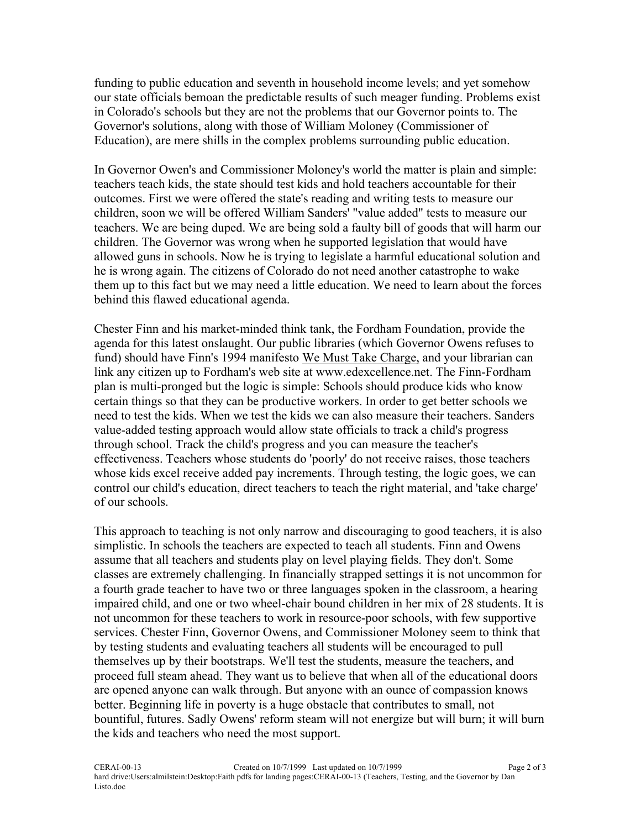funding to public education and seventh in household income levels; and yet somehow our state officials bemoan the predictable results of such meager funding. Problems exist in Colorado's schools but they are not the problems that our Governor points to. The Governor's solutions, along with those of William Moloney (Commissioner of Education), are mere shills in the complex problems surrounding public education.

In Governor Owen's and Commissioner Moloney's world the matter is plain and simple: teachers teach kids, the state should test kids and hold teachers accountable for their outcomes. First we were offered the state's reading and writing tests to measure our children, soon we will be offered William Sanders' "value added" tests to measure our teachers. We are being duped. We are being sold a faulty bill of goods that will harm our children. The Governor was wrong when he supported legislation that would have allowed guns in schools. Now he is trying to legislate a harmful educational solution and he is wrong again. The citizens of Colorado do not need another catastrophe to wake them up to this fact but we may need a little education. We need to learn about the forces behind this flawed educational agenda.

Chester Finn and his market-minded think tank, the Fordham Foundation, provide the agenda for this latest onslaught. Our public libraries (which Governor Owens refuses to fund) should have Finn's 1994 manifesto We Must Take Charge, and your librarian can link any citizen up to Fordham's web site at www.edexcellence.net. The Finn-Fordham plan is multi-pronged but the logic is simple: Schools should produce kids who know certain things so that they can be productive workers. In order to get better schools we need to test the kids. When we test the kids we can also measure their teachers. Sanders value-added testing approach would allow state officials to track a child's progress through school. Track the child's progress and you can measure the teacher's effectiveness. Teachers whose students do 'poorly' do not receive raises, those teachers whose kids excel receive added pay increments. Through testing, the logic goes, we can control our child's education, direct teachers to teach the right material, and 'take charge' of our schools.

This approach to teaching is not only narrow and discouraging to good teachers, it is also simplistic. In schools the teachers are expected to teach all students. Finn and Owens assume that all teachers and students play on level playing fields. They don't. Some classes are extremely challenging. In financially strapped settings it is not uncommon for a fourth grade teacher to have two or three languages spoken in the classroom, a hearing impaired child, and one or two wheel-chair bound children in her mix of 28 students. It is not uncommon for these teachers to work in resource-poor schools, with few supportive services. Chester Finn, Governor Owens, and Commissioner Moloney seem to think that by testing students and evaluating teachers all students will be encouraged to pull themselves up by their bootstraps. We'll test the students, measure the teachers, and proceed full steam ahead. They want us to believe that when all of the educational doors are opened anyone can walk through. But anyone with an ounce of compassion knows better. Beginning life in poverty is a huge obstacle that contributes to small, not bountiful, futures. Sadly Owens' reform steam will not energize but will burn; it will burn the kids and teachers who need the most support.